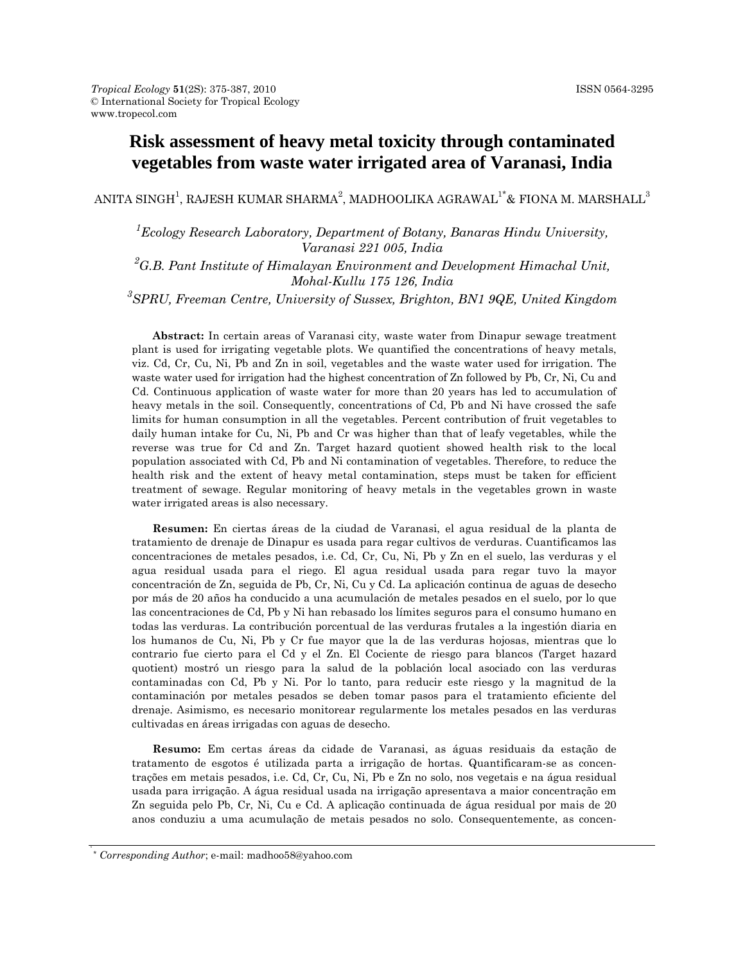# **Risk assessment of heavy metal toxicity through contaminated vegetables from waste water irrigated area of Varanasi, India**

ANITA SINGH $^1$ , RAJESH KUMAR SHARMA $^2$ , MADHOOLIKA AGRAWAL $^{1*}$ & FIONA M. MARSHALL $^3$ 

<sup>1</sup> Ecology Research Laboratory, Department of Botany, Banaras Hindu University, *Varanasi 221 005, India* 

*2 G.B. Pant Institute of Himalayan Environment and Development Himachal Unit, Mohal-Kullu 175 126, India* 

*3 SPRU, Freeman Centre, University of Sussex, Brighton, BN1 9QE, United Kingdom* 

**Abstract:** In certain areas of Varanasi city, waste water from Dinapur sewage treatment plant is used for irrigating vegetable plots. We quantified the concentrations of heavy metals, viz. Cd, Cr, Cu, Ni, Pb and Zn in soil, vegetables and the waste water used for irrigation. The waste water used for irrigation had the highest concentration of Zn followed by Pb, Cr, Ni, Cu and Cd. Continuous application of waste water for more than 20 years has led to accumulation of heavy metals in the soil. Consequently, concentrations of Cd, Pb and Ni have crossed the safe limits for human consumption in all the vegetables. Percent contribution of fruit vegetables to daily human intake for Cu, Ni, Pb and Cr was higher than that of leafy vegetables, while the reverse was true for Cd and Zn. Target hazard quotient showed health risk to the local population associated with Cd, Pb and Ni contamination of vegetables. Therefore, to reduce the health risk and the extent of heavy metal contamination, steps must be taken for efficient treatment of sewage. Regular monitoring of heavy metals in the vegetables grown in waste water irrigated areas is also necessary.

**Resumen:** En ciertas áreas de la ciudad de Varanasi, el agua residual de la planta de tratamiento de drenaje de Dinapur es usada para regar cultivos de verduras. Cuantificamos las concentraciones de metales pesados, i.e. Cd, Cr, Cu, Ni, Pb y Zn en el suelo, las verduras y el agua residual usada para el riego. El agua residual usada para regar tuvo la mayor concentración de Zn, seguida de Pb, Cr, Ni, Cu y Cd. La aplicación continua de aguas de desecho por más de 20 años ha conducido a una acumulación de metales pesados en el suelo, por lo que las concentraciones de Cd, Pb y Ni han rebasado los límites seguros para el consumo humano en todas las verduras. La contribución porcentual de las verduras frutales a la ingestión diaria en los humanos de Cu, Ni, Pb y Cr fue mayor que la de las verduras hojosas, mientras que lo contrario fue cierto para el Cd y el Zn. El Cociente de riesgo para blancos (Target hazard quotient) mostró un riesgo para la salud de la población local asociado con las verduras contaminadas con Cd, Pb y Ni. Por lo tanto, para reducir este riesgo y la magnitud de la contaminación por metales pesados se deben tomar pasos para el tratamiento eficiente del drenaje. Asimismo, es necesario monitorear regularmente los metales pesados en las verduras cultivadas en áreas irrigadas con aguas de desecho.

**Resumo:** Em certas áreas da cidade de Varanasi, as águas residuais da estação de tratamento de esgotos é utilizada parta a irrigação de hortas. Quantificaram-se as concentrações em metais pesados, i.e. Cd, Cr, Cu, Ni, Pb e Zn no solo, nos vegetais e na água residual usada para irrigação. A água residual usada na irrigação apresentava a maior concentração em Zn seguida pelo Pb, Cr, Ni, Cu e Cd. A aplicação continuada de água residual por mais de 20 anos conduziu a uma acumulação de metais pesados no solo. Consequentemente, as concen-

<sup>\*</sup> *Corresponding Author*; e-mail: madhoo58@yahoo.com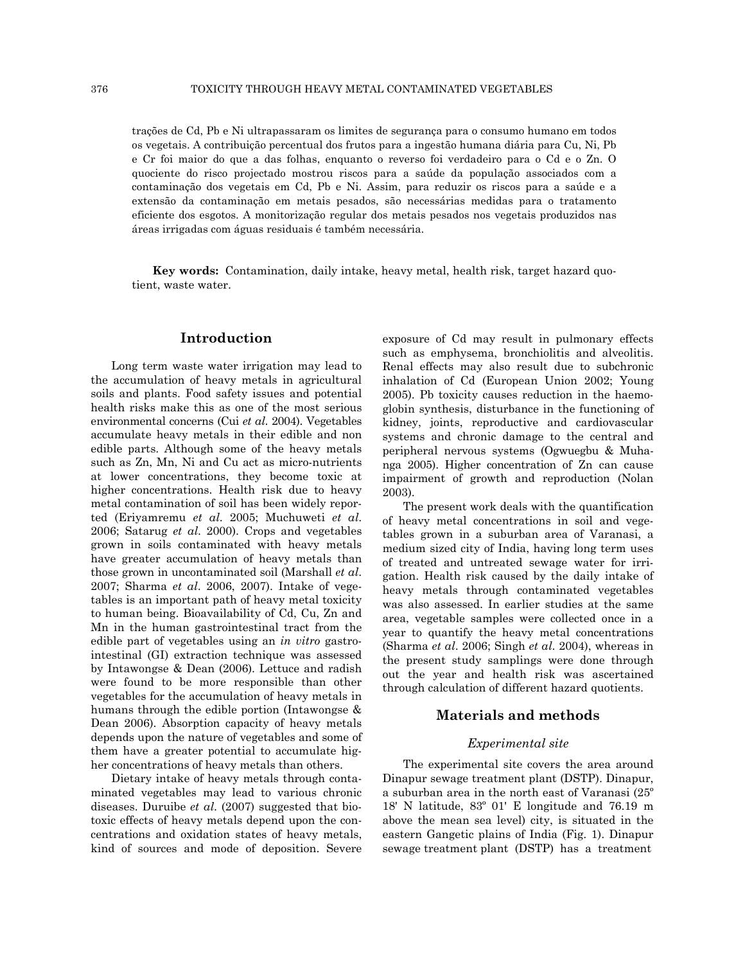trações de Cd, Pb e Ni ultrapassaram os limites de segurança para o consumo humano em todos os vegetais. A contribuição percentual dos frutos para a ingestão humana diária para Cu, Ni, Pb e Cr foi maior do que a das folhas, enquanto o reverso foi verdadeiro para o Cd e o Zn. O quociente do risco projectado mostrou riscos para a saúde da população associados com a contaminação dos vegetais em Cd, Pb e Ni. Assim, para reduzir os riscos para a saúde e a extensão da contaminação em metais pesados, são necessárias medidas para o tratamento eficiente dos esgotos. A monitorização regular dos metais pesados nos vegetais produzidos nas áreas irrigadas com águas residuais é também necessária.

**Key words:** Contamination, daily intake, heavy metal, health risk, target hazard quotient, waste water.

## **Introduction**

Long term waste water irrigation may lead to the accumulation of heavy metals in agricultural soils and plants. Food safety issues and potential health risks make this as one of the most serious environmental concerns (Cui *et al*. 2004). Vegetables accumulate heavy metals in their edible and non edible parts. Although some of the heavy metals such as Zn, Mn, Ni and Cu act as micro-nutrients at lower concentrations, they become toxic at higher concentrations. Health risk due to heavy metal contamination of soil has been widely reported (Eriyamremu *et al*. 2005; Muchuweti *et al*. 2006; Satarug *et al*. 2000). Crops and vegetables grown in soils contaminated with heavy metals have greater accumulation of heavy metals than those grown in uncontaminated soil (Marshall *et al*. 2007; Sharma *et al*. 2006, 2007). Intake of vegetables is an important path of heavy metal toxicity to human being. Bioavailability of Cd, Cu, Zn and Mn in the human gastrointestinal tract from the edible part of vegetables using an *in vitro* gastrointestinal (GI) extraction technique was assessed by Intawongse & Dean (2006). Lettuce and radish were found to be more responsible than other vegetables for the accumulation of heavy metals in humans through the edible portion (Intawongse & Dean 2006). Absorption capacity of heavy metals depends upon the nature of vegetables and some of them have a greater potential to accumulate higher concentrations of heavy metals than others.

Dietary intake of heavy metals through contaminated vegetables may lead to various chronic diseases. Duruibe *et al*. (2007) suggested that biotoxic effects of heavy metals depend upon the concentrations and oxidation states of heavy metals, kind of sources and mode of deposition. Severe exposure of Cd may result in pulmonary effects such as emphysema, bronchiolitis and alveolitis. Renal effects may also result due to subchronic inhalation of Cd (European Union 2002; Young 2005). Pb toxicity causes reduction in the haemoglobin synthesis, disturbance in the functioning of kidney, joints, reproductive and cardiovascular systems and chronic damage to the central and peripheral nervous systems (Ogwuegbu & Muhanga 2005). Higher concentration of Zn can cause impairment of growth and reproduction (Nolan 2003).

The present work deals with the quantification of heavy metal concentrations in soil and vegetables grown in a suburban area of Varanasi, a medium sized city of India, having long term uses of treated and untreated sewage water for irrigation. Health risk caused by the daily intake of heavy metals through contaminated vegetables was also assessed. In earlier studies at the same area, vegetable samples were collected once in a year to quantify the heavy metal concentrations (Sharma *et al*. 2006; Singh *et al*. 2004), whereas in the present study samplings were done through out the year and health risk was ascertained through calculation of different hazard quotients.

## **Materials and methods**

#### *Experimental site*

The experimental site covers the area around Dinapur sewage treatment plant (DSTP). Dinapur, a suburban area in the north east of Varanasi (25º 18' N latitude, 83º 01' E longitude and 76.19 m above the mean sea level) city, is situated in the eastern Gangetic plains of India (Fig. 1). Dinapur sewage treatment plant (DSTP) has a treatment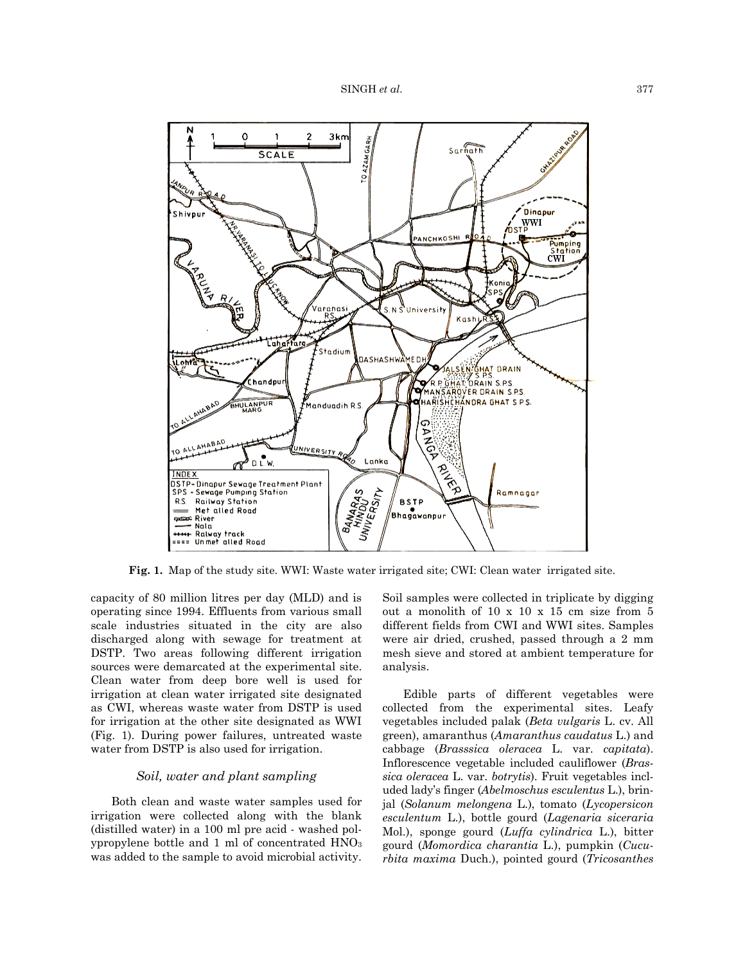

**Fig. 1.** Map of the study site. WWI: Waste water irrigated site; CWI: Clean water irrigated site.

capacity of 80 million litres per day (MLD) and is operating since 1994. Effluents from various small scale industries situated in the city are also discharged along with sewage for treatment at DSTP. Two areas following different irrigation sources were demarcated at the experimental site. Clean water from deep bore well is used for irrigation at clean water irrigated site designated as CWI, whereas waste water from DSTP is used for irrigation at the other site designated as WWI (Fig. 1). During power failures, untreated waste water from DSTP is also used for irrigation.

# *Soil, water and plant sampling*

Both clean and waste water samples used for irrigation were collected along with the blank (distilled water) in a 100 ml pre acid - washed polypropylene bottle and 1 ml of concentrated HNO3 was added to the sample to avoid microbial activity. Soil samples were collected in triplicate by digging out a monolith of 10 x 10 x 15 cm size from 5 different fields from CWI and WWI sites. Samples were air dried, crushed, passed through a 2 mm mesh sieve and stored at ambient temperature for analysis.

Edible parts of different vegetables were collected from the experimental sites. Leafy vegetables included palak (*Beta vulgaris* L. cv. All green), amaranthus (*Amaranthus caudatus* L.) and cabbage (*Brasssica oleracea* L. var. *capitata*). Inflorescence vegetable included cauliflower (*Brassica oleracea* L. var. *botrytis*). Fruit vegetables included lady's finger (*Abelmoschus esculentus* L.), brinjal (*Solanum melongena* L.), tomato (*Lycopersicon esculentum* L.), bottle gourd (*Lagenaria siceraria* Mol.), sponge gourd (*Luffa cylindrica* L.), bitter gourd (*Momordica charantia* L.), pumpkin (*Cucurbita maxima* Duch.), pointed gourd (*Tricosanthes*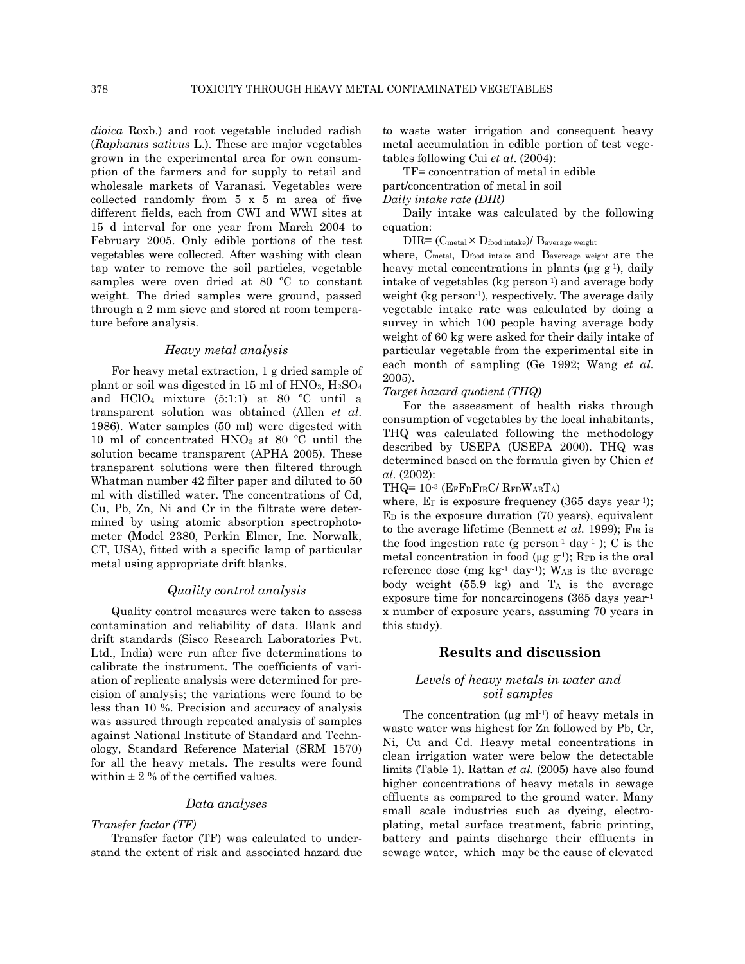*dioica* Roxb.) and root vegetable included radish (*Raphanus sativus* L.). These are major vegetables grown in the experimental area for own consumption of the farmers and for supply to retail and wholesale markets of Varanasi. Vegetables were collected randomly from 5 x 5 m area of five different fields, each from CWI and WWI sites at 15 d interval for one year from March 2004 to February 2005. Only edible portions of the test vegetables were collected. After washing with clean tap water to remove the soil particles, vegetable samples were oven dried at 80 ºC to constant weight. The dried samples were ground, passed through a 2 mm sieve and stored at room temperature before analysis.

#### *Heavy metal analysis*

For heavy metal extraction, 1 g dried sample of plant or soil was digested in 15 ml of  $HNO<sub>3</sub>$ ,  $H<sub>2</sub>SO<sub>4</sub>$ and HClO<sub>4</sub> mixture  $(5:1:1)$  at 80 °C until a transparent solution was obtained (Allen *et al*. 1986). Water samples (50 ml) were digested with 10 ml of concentrated  $HNO<sub>3</sub>$  at 80 °C until the solution became transparent (APHA 2005). These transparent solutions were then filtered through Whatman number 42 filter paper and diluted to 50 ml with distilled water. The concentrations of Cd, Cu, Pb, Zn, Ni and Cr in the filtrate were determined by using atomic absorption spectrophotometer (Model 2380, Perkin Elmer, Inc. Norwalk, CT, USA), fitted with a specific lamp of particular metal using appropriate drift blanks.

# *Quality control analysis*

Quality control measures were taken to assess contamination and reliability of data. Blank and drift standards (Sisco Research Laboratories Pvt. Ltd., India) were run after five determinations to calibrate the instrument. The coefficients of variation of replicate analysis were determined for precision of analysis; the variations were found to be less than 10 %. Precision and accuracy of analysis was assured through repeated analysis of samples against National Institute of Standard and Technology, Standard Reference Material (SRM 1570) for all the heavy metals. The results were found within  $\pm$  2 % of the certified values.

#### *Data analyses*

#### *Transfer factor (TF)*

Transfer factor (TF) was calculated to understand the extent of risk and associated hazard due to waste water irrigation and consequent heavy metal accumulation in edible portion of test vegetables following Cui *et al*. (2004):

TF= concentration of metal in edible part/concentration of metal in soil

*Daily intake rate (DIR)* 

Daily intake was calculated by the following equation:

 $\text{DIR} = (\text{C}_{\text{metal}} \times \text{D}_{\text{food intake}}) / \text{B}_{\text{average weight}}$ 

where, Cmetal, Dfood intake and Bavereage weight are the heavy metal concentrations in plants ( $\mu$ g g<sup>-1</sup>), daily intake of vegetables (kg person-1) and average body weight (kg person<sup>-1</sup>), respectively. The average daily vegetable intake rate was calculated by doing a survey in which 100 people having average body weight of 60 kg were asked for their daily intake of particular vegetable from the experimental site in each month of sampling (Ge 1992; Wang *et al*. 2005).

#### *Target hazard quotient (THQ)*

For the assessment of health risks through consumption of vegetables by the local inhabitants, THQ was calculated following the methodology described by USEPA (USEPA 2000). THQ was determined based on the formula given by Chien *et al*. (2002):

THQ= 10-3 (EFFDFIRC/ RFDWABTA)

where,  $E_F$  is exposure frequency (365 days year<sup>-1</sup>); ED is the exposure duration (70 years), equivalent to the average lifetime (Bennett *et al*. 1999); FIR is the food ingestion rate (g person $-1$  day $-1$ ); C is the metal concentration in food ( $\mu$ g g<sup>-1</sup>); R<sub>FD</sub> is the oral reference dose (mg  $kg^{-1}$  day<sup>-1</sup>); W<sub>AB</sub> is the average body weight  $(55.9 \text{ kg})$  and  $T_A$  is the average exposure time for noncarcinogens (365 days year-1 x number of exposure years, assuming 70 years in this study).

#### **Results and discussion**

#### *Levels of heavy metals in water and soil samples*

The concentration  $(\mu g \text{ ml-1})$  of heavy metals in waste water was highest for Zn followed by Pb, Cr, Ni, Cu and Cd. Heavy metal concentrations in clean irrigation water were below the detectable limits (Table 1). Rattan *et al*. (2005) have also found higher concentrations of heavy metals in sewage effluents as compared to the ground water. Many small scale industries such as dyeing, electroplating, metal surface treatment, fabric printing, battery and paints discharge their effluents in sewage water, which may be the cause of elevated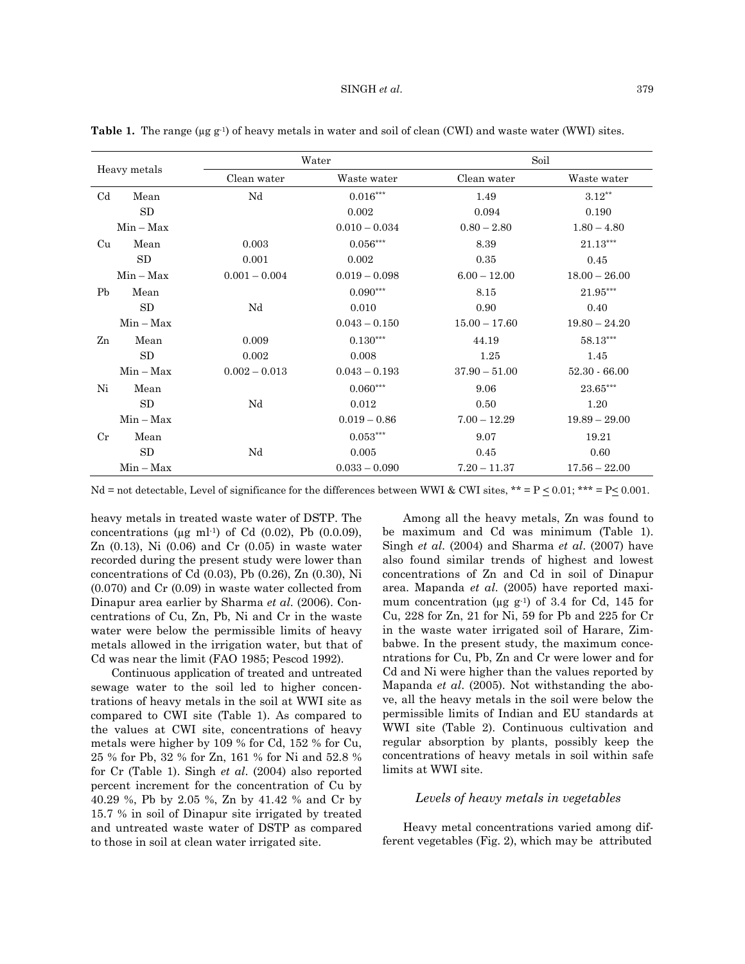| Heavy metals   |             |                 | Water           | Soil            |                 |  |
|----------------|-------------|-----------------|-----------------|-----------------|-----------------|--|
|                |             | Clean water     | Waste water     | Clean water     | Waste water     |  |
| C <sub>d</sub> | Mean        | Nd              | $0.016^{***}\,$ | 1.49            | $3.12***$       |  |
|                | SD          |                 | 0.002           | 0.094           | 0.190           |  |
|                | $Min - Max$ |                 | $0.010 - 0.034$ | $0.80 - 2.80$   | $1.80 - 4.80$   |  |
| Cu             | Mean        | 0.003           | $0.056***$      | 8.39            | $21.13***$      |  |
|                | SD          | 0.001           | 0.002           | 0.35            | 0.45            |  |
|                | $Min - Max$ | $0.001 - 0.004$ | $0.019 - 0.098$ | $6.00 - 12.00$  | $18.00 - 26.00$ |  |
| Pb             | Mean        |                 | $0.090***$      | 8.15            | 21.95***        |  |
|                | SD          | Nd              | 0.010           | 0.90            | 0.40            |  |
|                | $Min - Max$ |                 | $0.043 - 0.150$ | $15.00 - 17.60$ | $19.80 - 24.20$ |  |
| Zn             | Mean        | 0.009           | $0.130***$      | 44.19           | 58.13***        |  |
|                | SD          | 0.002           | 0.008           | 1.25            | 1.45            |  |
|                | $Min - Max$ | $0.002 - 0.013$ | $0.043 - 0.193$ | $37.90 - 51.00$ | $52.30 - 66.00$ |  |
| Ni             | Mean        |                 | $0.060***$      | 9.06            | 23.65***        |  |
|                | SD          | Nd              | 0.012           | 0.50            | 1.20            |  |
|                | $Min - Max$ |                 | $0.019 - 0.86$  | $7.00 - 12.29$  | $19.89 - 29.00$ |  |
| $_{\rm Cr}$    | Mean        |                 | $0.053***$      | 9.07            | 19.21           |  |
|                | SD          | Nd              | 0.005           | 0.45            | 0.60            |  |
|                | $Min - Max$ |                 | $0.033 - 0.090$ | $7.20 - 11.37$  | $17.56 - 22.00$ |  |

**Table 1.** The range ( $\mu$ g g<sup>-1</sup>) of heavy metals in water and soil of clean (CWI) and waste water (WWI) sites.

Nd = not detectable, Level of significance for the differences between WWI & CWI sites, \*\* = P  $\leq 0.01$ ; \*\*\* = P $\leq 0.001$ .

heavy metals in treated waste water of DSTP. The concentrations ( $\mu$ g ml<sup>-1</sup>) of Cd (0.02), Pb (0.0.09), Zn  $(0.13)$ , Ni  $(0.06)$  and Cr  $(0.05)$  in waste water recorded during the present study were lower than concentrations of Cd (0.03), Pb (0.26), Zn (0.30), Ni (0.070) and Cr (0.09) in waste water collected from Dinapur area earlier by Sharma *et al*. (2006). Concentrations of Cu, Zn, Pb, Ni and Cr in the waste water were below the permissible limits of heavy metals allowed in the irrigation water, but that of Cd was near the limit (FAO 1985; Pescod 1992).

Continuous application of treated and untreated sewage water to the soil led to higher concentrations of heavy metals in the soil at WWI site as compared to CWI site (Table 1). As compared to the values at CWI site, concentrations of heavy metals were higher by 109 % for Cd, 152 % for Cu, 25 % for Pb, 32 % for Zn, 161 % for Ni and 52.8 % for Cr (Table 1). Singh *et al*. (2004) also reported percent increment for the concentration of Cu by 40.29 %, Pb by 2.05 %, Zn by 41.42 % and Cr by 15.7 % in soil of Dinapur site irrigated by treated and untreated waste water of DSTP as compared to those in soil at clean water irrigated site.

Among all the heavy metals, Zn was found to be maximum and Cd was minimum (Table 1). Singh *et al*. (2004) and Sharma *et al*. (2007) have also found similar trends of highest and lowest concentrations of Zn and Cd in soil of Dinapur area. Mapanda *et al*. (2005) have reported maximum concentration ( $\mu$ g g<sup>-1</sup>) of 3.4 for Cd, 145 for Cu, 228 for Zn, 21 for Ni, 59 for Pb and 225 for Cr in the waste water irrigated soil of Harare, Zimbabwe. In the present study, the maximum concentrations for Cu, Pb, Zn and Cr were lower and for Cd and Ni were higher than the values reported by Mapanda *et al*. (2005). Not withstanding the above, all the heavy metals in the soil were below the permissible limits of Indian and EU standards at WWI site (Table 2). Continuous cultivation and regular absorption by plants, possibly keep the concentrations of heavy metals in soil within safe limits at WWI site.

#### *Levels of heavy metals in vegetables*

Heavy metal concentrations varied among different vegetables (Fig. 2), which may be attributed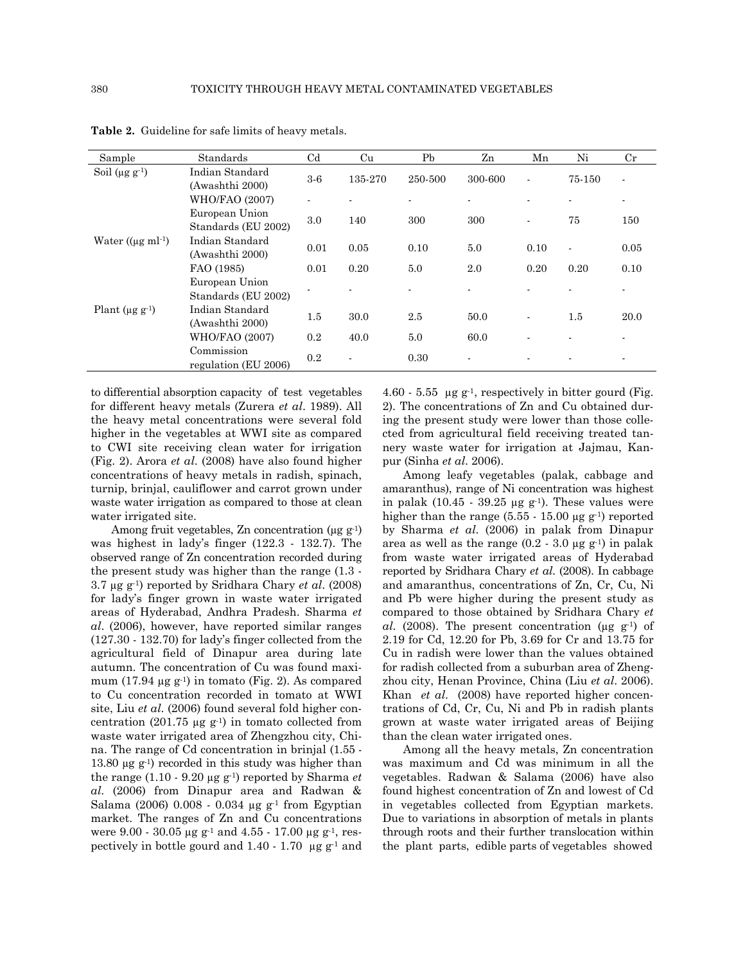| Sample                            | Standards                             | $_{\mathrm{Cd}}$ | Cu             | Pb      | Zn             | Mn             | Ni             | $_{\rm Cr}$    |
|-----------------------------------|---------------------------------------|------------------|----------------|---------|----------------|----------------|----------------|----------------|
| Soil $(\mu g g^{-1})$             | Indian Standard<br>(Awashthi 2000)    | $3-6$            | 135-270        | 250-500 | 300-600        | ٠              | 75-150         | $\blacksquare$ |
|                                   | WHO/FAO (2007)                        | ٠                | $\blacksquare$ | ٠       |                |                | $\blacksquare$ | $\blacksquare$ |
|                                   | European Union<br>Standards (EU 2002) | 3.0              | 140            | 300     | 300            | $\blacksquare$ | 75             | 150            |
| Water $((\mu g \text{ ml}^{-1}))$ | Indian Standard<br>(Awashthi 2000)    | 0.01             | 0.05           | 0.10    | 5.0            | 0.10           | $\blacksquare$ | 0.05           |
|                                   | FAO (1985)                            | 0.01             | 0.20           | 5.0     | 2.0            | 0.20           | 0.20           | 0.10           |
|                                   | European Union<br>Standards (EU 2002) |                  |                |         |                |                |                | $\blacksquare$ |
| Plant ( $\mu$ g g <sup>-1</sup> ) | Indian Standard<br>(Awashthi 2000)    | 1.5              | 30.0           | 2.5     | 50.0           | ٠              | 1.5            | 20.0           |
|                                   | <b>WHO/FAO (2007)</b>                 | 0.2              | 40.0           | 5.0     | 60.0           |                |                |                |
|                                   | Commission<br>regulation (EU 2006)    | 0.2              | $\blacksquare$ | 0.30    | $\blacksquare$ |                |                | $\blacksquare$ |

**Table 2.** Guideline for safe limits of heavy metals.

to differential absorption capacity of test vegetables for different heavy metals (Zurera *et al*. 1989). All the heavy metal concentrations were several fold higher in the vegetables at WWI site as compared to CWI site receiving clean water for irrigation (Fig. 2). Arora *et al*. (2008) have also found higher concentrations of heavy metals in radish, spinach, turnip, brinjal, cauliflower and carrot grown under waste water irrigation as compared to those at clean water irrigated site.

Among fruit vegetables, Zn concentration ( $\mu$ g g<sup>-1</sup>) was highest in lady's finger (122.3 - 132.7). The observed range of Zn concentration recorded during the present study was higher than the range (1.3 - 3.7 µg g-1) reported by Sridhara Chary *et al*. (2008) for lady's finger grown in waste water irrigated areas of Hyderabad, Andhra Pradesh. Sharma *et al*. (2006), however, have reported similar ranges (127.30 - 132.70) for lady's finger collected from the agricultural field of Dinapur area during late autumn. The concentration of Cu was found maximum  $(17.94 \mu g g^{-1})$  in tomato (Fig. 2). As compared to Cu concentration recorded in tomato at WWI site, Liu *et al*. (2006) found several fold higher concentration (201.75  $\mu$ g g<sup>-1</sup>) in tomato collected from waste water irrigated area of Zhengzhou city, China. The range of Cd concentration in brinjal (1.55 - 13.80  $\mu$ g g<sup>-1</sup>) recorded in this study was higher than the range (1.10 - 9.20 µg g-1) reported by Sharma *et al*. (2006) from Dinapur area and Radwan & Salama (2006) 0.008 - 0.034  $\mu$ g g<sup>-1</sup> from Egyptian market. The ranges of Zn and Cu concentrations were 9.00 - 30.05  $\mu$ g g<sup>-1</sup> and 4.55 - 17.00  $\mu$ g g<sup>-1</sup>, respectively in bottle gourd and  $1.40 - 1.70$  µg g<sup>-1</sup> and 4.60 - 5.55  $\mu$ g g<sup>-1</sup>, respectively in bitter gourd (Fig. 2). The concentrations of Zn and Cu obtained during the present study were lower than those collected from agricultural field receiving treated tannery waste water for irrigation at Jajmau, Kanpur (Sinha *et al*. 2006).

Among leafy vegetables (palak, cabbage and amaranthus), range of Ni concentration was highest in palak (10.45 - 39.25  $\mu$ g g<sup>-1</sup>). These values were higher than the range  $(5.55 - 15.00 \,\mu g \,g^{-1})$  reported by Sharma *et al*. (2006) in palak from Dinapur area as well as the range  $(0.2 - 3.0 \,\mu g \,\text{g}^{-1})$  in palak from waste water irrigated areas of Hyderabad reported by Sridhara Chary *et al*. (2008). In cabbage and amaranthus, concentrations of Zn, Cr, Cu, Ni and Pb were higher during the present study as compared to those obtained by Sridhara Chary *et al*. (2008). The present concentration (µg g-1) of 2.19 for Cd, 12.20 for Pb, 3.69 for Cr and 13.75 for Cu in radish were lower than the values obtained for radish collected from a suburban area of Zhengzhou city, Henan Province, China (Liu *et al*. 2006). Khan *et al*. (2008) have reported higher concentrations of Cd, Cr, Cu, Ni and Pb in radish plants grown at waste water irrigated areas of Beijing than the clean water irrigated ones.

Among all the heavy metals, Zn concentration was maximum and Cd was minimum in all the vegetables. Radwan & Salama (2006) have also found highest concentration of Zn and lowest of Cd in vegetables collected from Egyptian markets. Due to variations in absorption of metals in plants through roots and their further translocation within the plant parts, edible parts of vegetables showed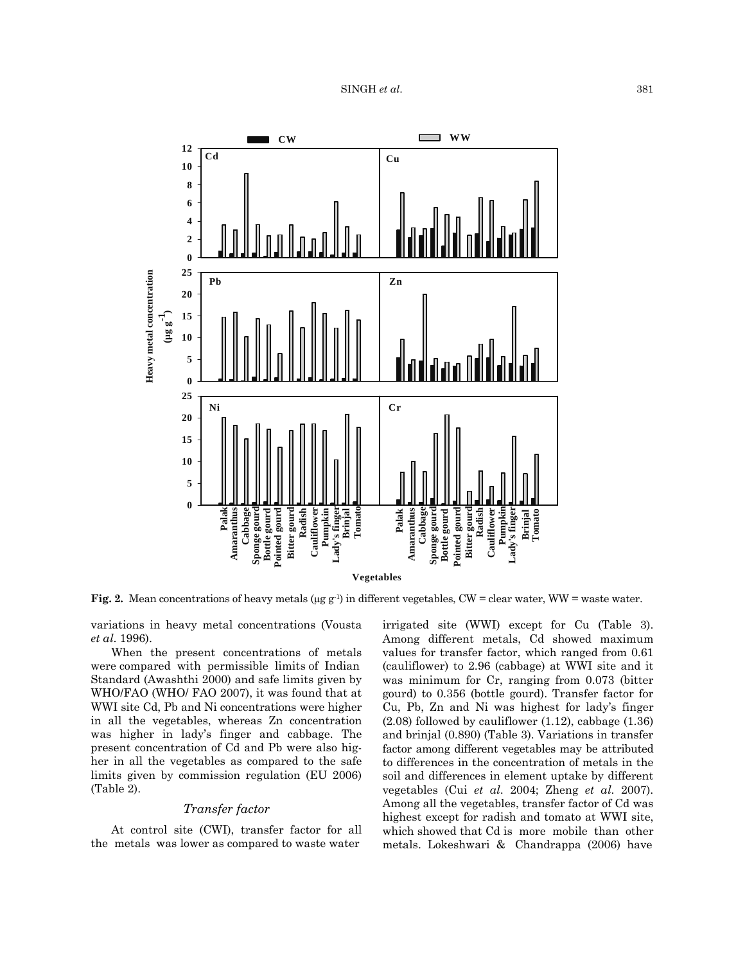

**Fig. 2.** Mean concentrations of heavy metals (µg g<sup>-1)</sup> in different vegetables, CW = clear water, WW = waste water.

variations in heavy metal concentrations (Vousta *et al*. 1996).

When the present concentrations of metals were compared with permissible limits of Indian Standard (Awashthi 2000) and safe limits given by WHO/FAO (WHO/ FAO 2007), it was found that at WWI site Cd, Pb and Ni concentrations were higher in all the vegetables, whereas Zn concentration was higher in lady's finger and cabbage. The present concentration of Cd and Pb were also higher in all the vegetables as compared to the safe limits given by commission regulation (EU 2006) (Table 2).

#### *Transfer factor*

At control site (CWI), transfer factor for all the metals was lower as compared to waste water

irrigated site (WWI) except for Cu (Table 3). Among different metals, Cd showed maximum values for transfer factor, which ranged from 0.61 (cauliflower) to 2.96 (cabbage) at WWI site and it was minimum for Cr, ranging from 0.073 (bitter gourd) to 0.356 (bottle gourd). Transfer factor for Cu, Pb, Zn and Ni was highest for lady's finger (2.08) followed by cauliflower (1.12), cabbage (1.36) and brinjal (0.890) (Table 3). Variations in transfer factor among different vegetables may be attributed to differences in the concentration of metals in the soil and differences in element uptake by different vegetables (Cui *et al*. 2004; Zheng *et al*. 2007). Among all the vegetables, transfer factor of Cd was highest except for radish and tomato at WWI site, which showed that Cd is more mobile than other metals. Lokeshwari & Chandrappa (2006) have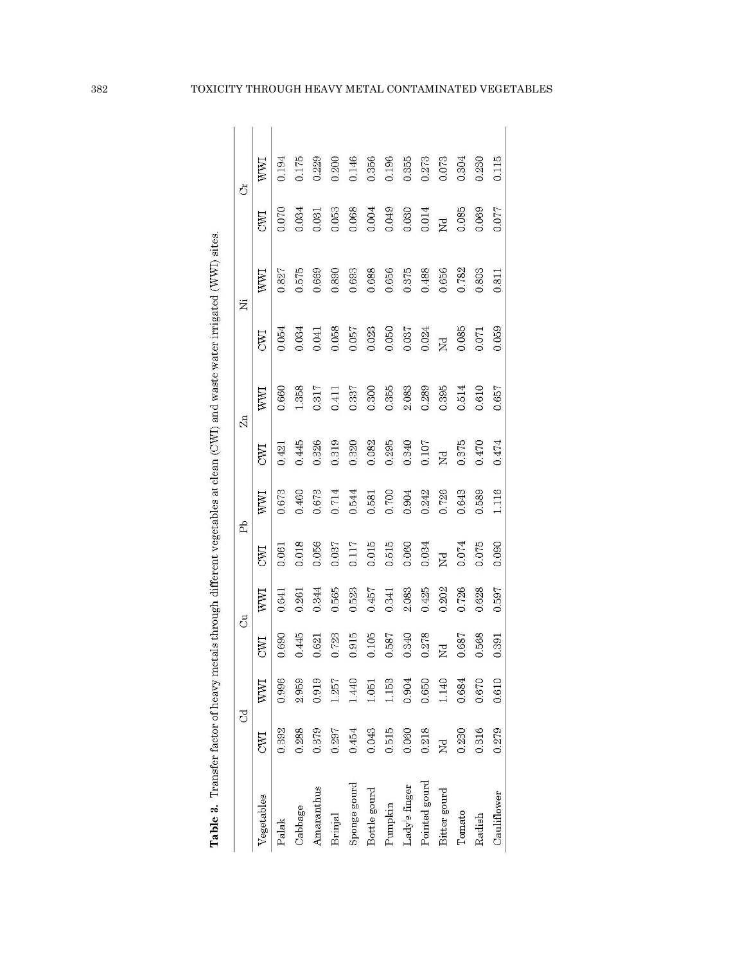|               | i<br>i                                                       |
|---------------|--------------------------------------------------------------|
|               |                                                              |
|               | $\frac{1}{2}$                                                |
|               | Ī,                                                           |
|               | I,                                                           |
|               |                                                              |
|               | I.                                                           |
|               | í                                                            |
| $\frac{1}{2}$ | l                                                            |
| ļ<br>j        | í<br>í<br>ī<br>Í<br>İ<br>֘֒<br>Ę                             |
|               | i<br>ĺ<br>¢<br>١<br>q<br>abl<br>$\frac{1}{2}$<br>7<br>É<br>l |

|               |            | <u>ट</u> |            | ්     |                | Êb    |              | Zn    |                | Ä     |              | Ĵ     |
|---------------|------------|----------|------------|-------|----------------|-------|--------------|-------|----------------|-------|--------------|-------|
| Vegetables    | <b>CWI</b> | WWI      | <b>CAN</b> | WWI   | UND            | WWI   | E            | WWI   | <b>CWI</b>     | WWI   | E            | WWI   |
| Palak         | 0.392      | 0.996    | 0.690      | 0.641 | 0.061          | 0.673 | 0.421        | 0.660 | 0.054          | 0.827 | 0.070        | 0.194 |
| Cabbage       | 0.288      | 2.959    | 0.445      | 0.261 | 0.018          | 0.460 | 0.445        | 1.358 | 0.034          | 0.575 | 0.034        | 0.175 |
| Amaranthus    | 0.379      | 0.919    | 0.621      | 0.344 | 0.056          | 0.673 | 0.326        | 0.317 | 0.041          | 0.669 | 0.031        | 0.229 |
| Brinjal       | 0.297      | 1.257    | 0.723      | 0.565 | 0.037          | 0.714 | 0.319        | 0.411 | 0.058          | 0.890 | 0.053        | 0.200 |
| Sponge gourd  | 0.454      | 1.440    | 0.915      | 0.523 | 0.117          | 0.544 | 0.320        | 0.337 | 0.057          | 0.693 | 0.068        | 0.146 |
| Bottle gourd  | 0.043      | $-1.05$  | 0.105      | 0.457 | 0.015          | 0.581 | 0.082        | 0.300 | 0.023          | 0.688 | 0.004        | 0.356 |
| Pumpkin       | 0.515      | 1153     | 0.587      | 0.341 | 0.515          | 0.700 | 0.295        | 0.355 | 0.050          | 0.656 | 0.049        | 0.196 |
| Lady's finger | 0.060      | 0.904    | 0.340      | 2.083 | 0.060          | 0.904 | 0.340        | 2.083 | 0.037          | 0.375 | 0.030        | 0.355 |
| Pointed gourd | 0.218      | 0.650    | 0278       | 0.425 | 0.034          | 0.242 | 0.107        | 0.289 | 0.024          | 0.488 | 0.014        | 0.273 |
| Bitter gourd  | ž          | 1.140    | ž          | 0.202 | $\overline{Z}$ | 0.726 | $\mathbb{Z}$ | 0.395 | $\overline{z}$ | 0.656 | $\mathbb{E}$ | 0.073 |
| Tomato        | 0.230      | 0.684    | 0.687      | 0.726 | 0.074          | 0.643 | 0.375        | 0.514 | 0.085          | 0.782 | 0.085        | 0.304 |
| Radish        | 0.316      | 0.670    | 0.568      | 0.628 | 0.075          | 0.589 | 0.470        | 0.610 | 0.071          | 0.803 | 0.069        | 0.230 |
| Cauliflower   | 0.279      | 0.610    | 0.391      | 0.597 | 0.090          | 1.116 | 0.474        | 0.657 | 0.059          | 0.811 | 0.077        | 0.115 |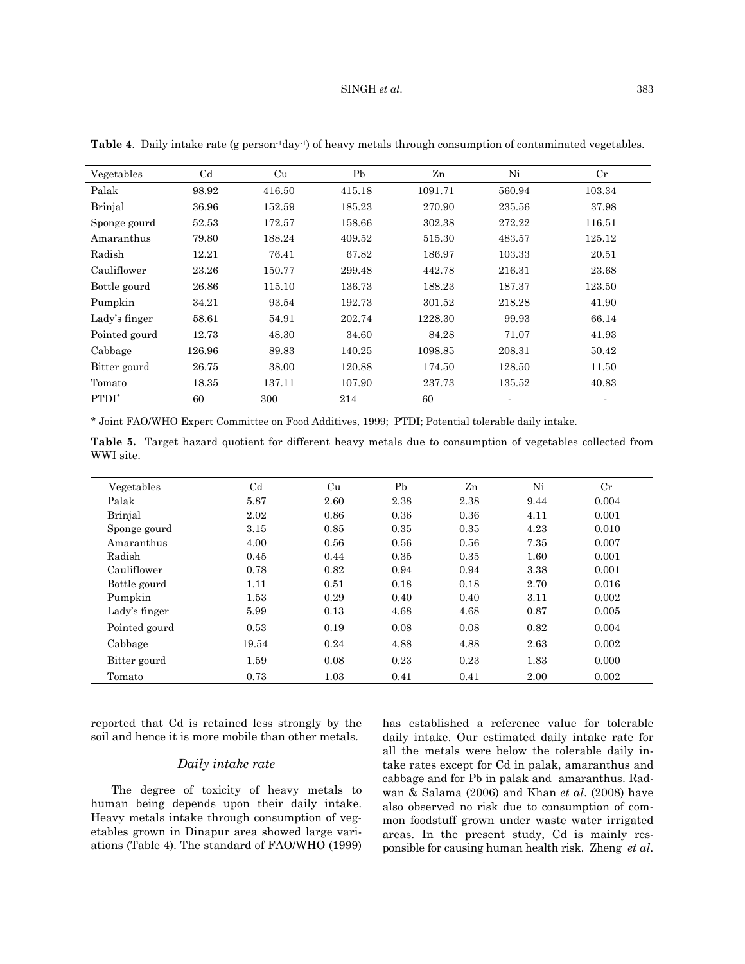#### SINGH *et al.* 383

| Vegetables        | C <sub>d</sub> | Cu     | Pb     | Zn      | Ni     | $_{\rm Cr}$ |
|-------------------|----------------|--------|--------|---------|--------|-------------|
| Palak             | 98.92          | 416.50 | 415.18 | 1091.71 | 560.94 | 103.34      |
| Brinjal           | 36.96          | 152.59 | 185.23 | 270.90  | 235.56 | 37.98       |
| Sponge gourd      | 52.53          | 172.57 | 158.66 | 302.38  | 272.22 | 116.51      |
| Amaranthus        | 79.80          | 188.24 | 409.52 | 515.30  | 483.57 | 125.12      |
| Radish            | 12.21          | 76.41  | 67.82  | 186.97  | 103.33 | 20.51       |
| Cauliflower       | 23.26          | 150.77 | 299.48 | 442.78  | 216.31 | 23.68       |
| Bottle gourd      | 26.86          | 115.10 | 136.73 | 188.23  | 187.37 | 123.50      |
| Pumpkin           | 34.21          | 93.54  | 192.73 | 301.52  | 218.28 | 41.90       |
| Lady's finger     | 58.61          | 54.91  | 202.74 | 1228.30 | 99.93  | 66.14       |
| Pointed gourd     | 12.73          | 48.30  | 34.60  | 84.28   | 71.07  | 41.93       |
| Cabbage           | 126.96         | 89.83  | 140.25 | 1098.85 | 208.31 | 50.42       |
| Bitter gourd      | 26.75          | 38.00  | 120.88 | 174.50  | 128.50 | 11.50       |
| Tomato            | 18.35          | 137.11 | 107.90 | 237.73  | 135.52 | 40.83       |
| PTDI <sup>*</sup> | 60             | 300    | 214    | 60      | ٠      |             |

**Table 4**. Daily intake rate (g person-1day-1) of heavy metals through consumption of contaminated vegetables.

\* Joint FAO/WHO Expert Committee on Food Additives, 1999; PTDI; Potential tolerable daily intake.

**Table 5.** Target hazard quotient for different heavy metals due to consumption of vegetables collected from WWI site.

| Vegetables    | C <sub>d</sub> | Cu   | Pb   | Zn   | Ni   | $_{\rm Cr}$ |
|---------------|----------------|------|------|------|------|-------------|
| Palak         | 5.87           | 2.60 | 2.38 | 2.38 | 9.44 | 0.004       |
| Brinjal       | 2.02           | 0.86 | 0.36 | 0.36 | 4.11 | 0.001       |
| Sponge gourd  | 3.15           | 0.85 | 0.35 | 0.35 | 4.23 | 0.010       |
| Amaranthus    | 4.00           | 0.56 | 0.56 | 0.56 | 7.35 | 0.007       |
| Radish        | 0.45           | 0.44 | 0.35 | 0.35 | 1.60 | 0.001       |
| Cauliflower   | 0.78           | 0.82 | 0.94 | 0.94 | 3.38 | 0.001       |
| Bottle gourd  | 1.11           | 0.51 | 0.18 | 0.18 | 2.70 | 0.016       |
| Pumpkin       | 1.53           | 0.29 | 0.40 | 0.40 | 3.11 | 0.002       |
| Lady's finger | 5.99           | 0.13 | 4.68 | 4.68 | 0.87 | 0.005       |
| Pointed gourd | 0.53           | 0.19 | 0.08 | 0.08 | 0.82 | 0.004       |
| Cabbage       | 19.54          | 0.24 | 4.88 | 4.88 | 2.63 | 0.002       |
| Bitter gourd  | 1.59           | 0.08 | 0.23 | 0.23 | 1.83 | 0.000       |
| Tomato        | 0.73           | 1.03 | 0.41 | 0.41 | 2.00 | 0.002       |

reported that Cd is retained less strongly by the soil and hence it is more mobile than other metals.

## *Daily intake rate*

The degree of toxicity of heavy metals to human being depends upon their daily intake. Heavy metals intake through consumption of vegetables grown in Dinapur area showed large variations (Table 4). The standard of FAO/WHO (1999) has established a reference value for tolerable daily intake. Our estimated daily intake rate for all the metals were below the tolerable daily intake rates except for Cd in palak, amaranthus and cabbage and for Pb in palak and amaranthus. Radwan & Salama (2006) and Khan *et al*. (2008) have also observed no risk due to consumption of common foodstuff grown under waste water irrigated areas. In the present study, Cd is mainly responsible for causing human health risk. Zheng *et al*.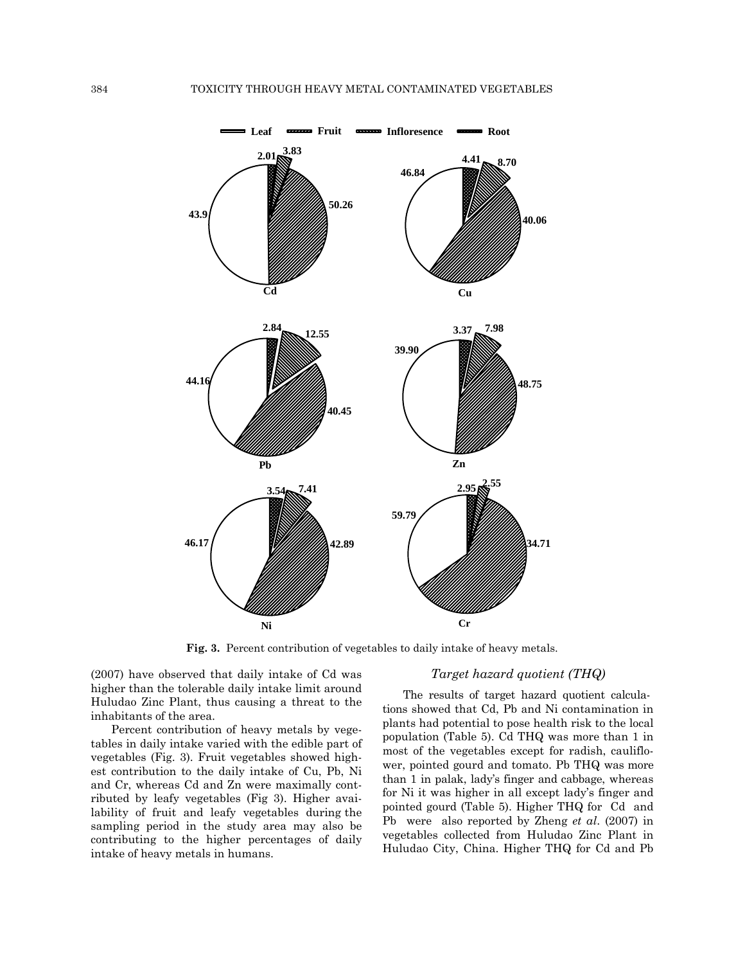

**Fig. 3.** Percent contribution of vegetables to daily intake of heavy metals.

(2007) have observed that daily intake of Cd was higher than the tolerable daily intake limit around Huludao Zinc Plant, thus causing a threat to the inhabitants of the area.

Percent contribution of heavy metals by vegetables in daily intake varied with the edible part of vegetables (Fig. 3). Fruit vegetables showed highest contribution to the daily intake of Cu, Pb, Ni and Cr, whereas Cd and Zn were maximally contributed by leafy vegetables (Fig 3). Higher availability of fruit and leafy vegetables during the sampling period in the study area may also be contributing to the higher percentages of daily intake of heavy metals in humans.

# *Target hazard quotient (THQ)*

The results of target hazard quotient calculations showed that Cd, Pb and Ni contamination in plants had potential to pose health risk to the local population (Table 5). Cd THQ was more than 1 in most of the vegetables except for radish, cauliflower, pointed gourd and tomato. Pb THQ was more than 1 in palak, lady's finger and cabbage, whereas for Ni it was higher in all except lady's finger and pointed gourd (Table 5). Higher THQ for Cd and Pb were also reported by Zheng *et al*. (2007) in vegetables collected from Huludao Zinc Plant in Huludao City, China. Higher THQ for Cd and Pb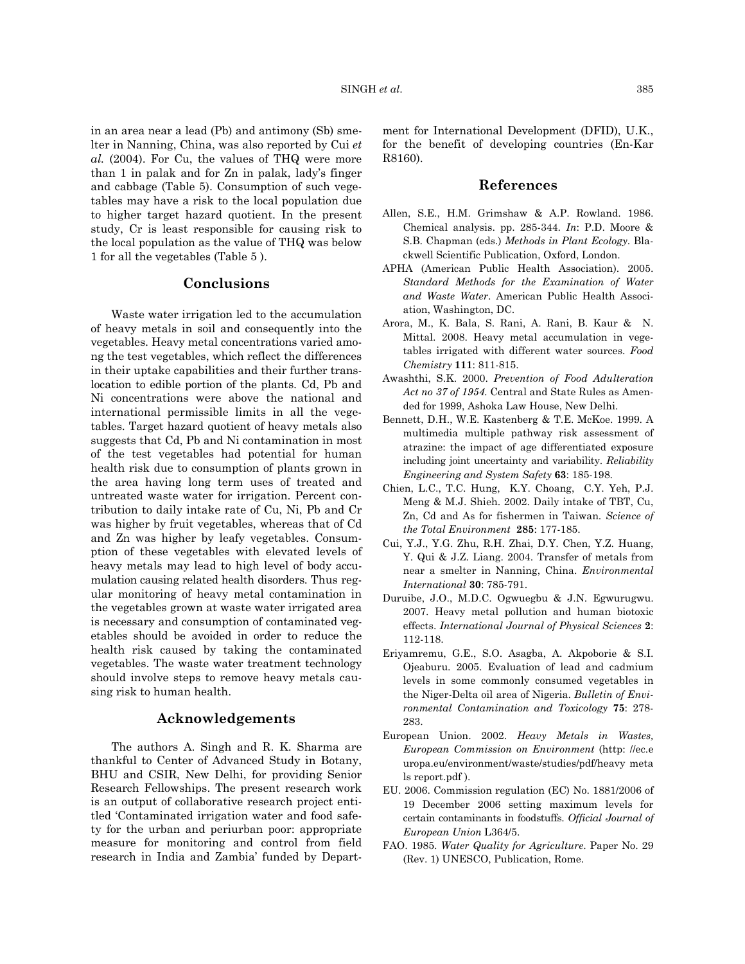in an area near a lead (Pb) and antimony (Sb) smelter in Nanning, China, was also reported by Cui *et al.* (2004). For Cu, the values of THQ were more than 1 in palak and for Zn in palak, lady's finger and cabbage (Table 5). Consumption of such vegetables may have a risk to the local population due to higher target hazard quotient. In the present study, Cr is least responsible for causing risk to the local population as the value of THQ was below 1 for all the vegetables (Table 5 ).

#### **Conclusions**

Waste water irrigation led to the accumulation of heavy metals in soil and consequently into the vegetables. Heavy metal concentrations varied among the test vegetables, which reflect the differences in their uptake capabilities and their further translocation to edible portion of the plants. Cd, Pb and Ni concentrations were above the national and international permissible limits in all the vegetables. Target hazard quotient of heavy metals also suggests that Cd, Pb and Ni contamination in most of the test vegetables had potential for human health risk due to consumption of plants grown in the area having long term uses of treated and untreated waste water for irrigation. Percent contribution to daily intake rate of Cu, Ni, Pb and Cr was higher by fruit vegetables, whereas that of Cd and Zn was higher by leafy vegetables. Consumption of these vegetables with elevated levels of heavy metals may lead to high level of body accumulation causing related health disorders. Thus regular monitoring of heavy metal contamination in the vegetables grown at waste water irrigated area is necessary and consumption of contaminated vegetables should be avoided in order to reduce the health risk caused by taking the contaminated vegetables. The waste water treatment technology should involve steps to remove heavy metals causing risk to human health.

## **Acknowledgements**

The authors A. Singh and R. K. Sharma are thankful to Center of Advanced Study in Botany, BHU and CSIR, New Delhi, for providing Senior Research Fellowships. The present research work is an output of collaborative research project entitled 'Contaminated irrigation water and food safety for the urban and periurban poor: appropriate measure for monitoring and control from field research in India and Zambia' funded by Department for International Development (DFID), U.K., for the benefit of developing countries (En-Kar R8160).

#### **References**

- Allen, S.E., H.M. Grimshaw & A.P. Rowland. 1986. Chemical analysis. pp. 285-344. *In*: P.D. Moore & S.B. Chapman (eds.) *Methods in Plant Ecology*. Blackwell Scientific Publication, Oxford, London.
- APHA (American Public Health Association). 2005. *Standard Methods for the Examination of Water and Waste Water*. American Public Health Association, Washington, DC.
- Arora, M., K. Bala, S. Rani, A. Rani, B. Kaur & N. Mittal. 2008. Heavy metal accumulation in vegetables irrigated with different water sources. *Food Chemistry* **111**: 811-815.
- Awashthi, S.K. 2000. *Prevention of Food Adulteration Act no 37 of 1954.* Central and State Rules as Amended for 1999, Ashoka Law House, New Delhi.
- Bennett, D.H., W.E. Kastenberg & T.E. McKoe. 1999. A multimedia multiple pathway risk assessment of atrazine: the impact of age differentiated exposure including joint uncertainty and variability. *Reliability Engineering and System Safety* **63**: 185-198.
- Chien, L.C., T.C. Hung, K.Y. Choang, C.Y. Yeh, P.J. Meng & M.J. Shieh. 2002. Daily intake of TBT, Cu, Zn, Cd and As for fishermen in Taiwan. *Science of the Total Environment* **285**: 177-185.
- Cui, Y.J., Y.G. Zhu, R.H. Zhai, D.Y. Chen, Y.Z. Huang, Y. Qui & J.Z. Liang. 2004. Transfer of metals from near a smelter in Nanning, China. *Environmental International* **30**: 785-791.
- Duruibe, J.O., M.D.C. Ogwuegbu & J.N. Egwurugwu. 2007. Heavy metal pollution and human biotoxic effects. *International Journal of Physical Sciences* **2**: 112-118.
- Eriyamremu, G.E., S.O. Asagba, A. Akpoborie & S.I. Ojeaburu. 2005. Evaluation of lead and cadmium levels in some commonly consumed vegetables in the Niger-Delta oil area of Nigeria. *Bulletin of Environmental Contamination and Toxicology* **75**: 278- 283.
- European Union. 2002. *Heavy Metals in Wastes, European Commission on Environment* (http: //ec.e uropa.eu/environment/waste/studies/pdf/heavy meta ls report.pdf ).
- EU. 2006. Commission regulation (EC) No. 1881/2006 of 19 December 2006 setting maximum levels for certain contaminants in foodstuffs. *Official Journal of European Union* L364/5.
- FAO. 1985. *Water Quality for Agriculture*. Paper No. 29 (Rev. 1) UNESCO, Publication, Rome.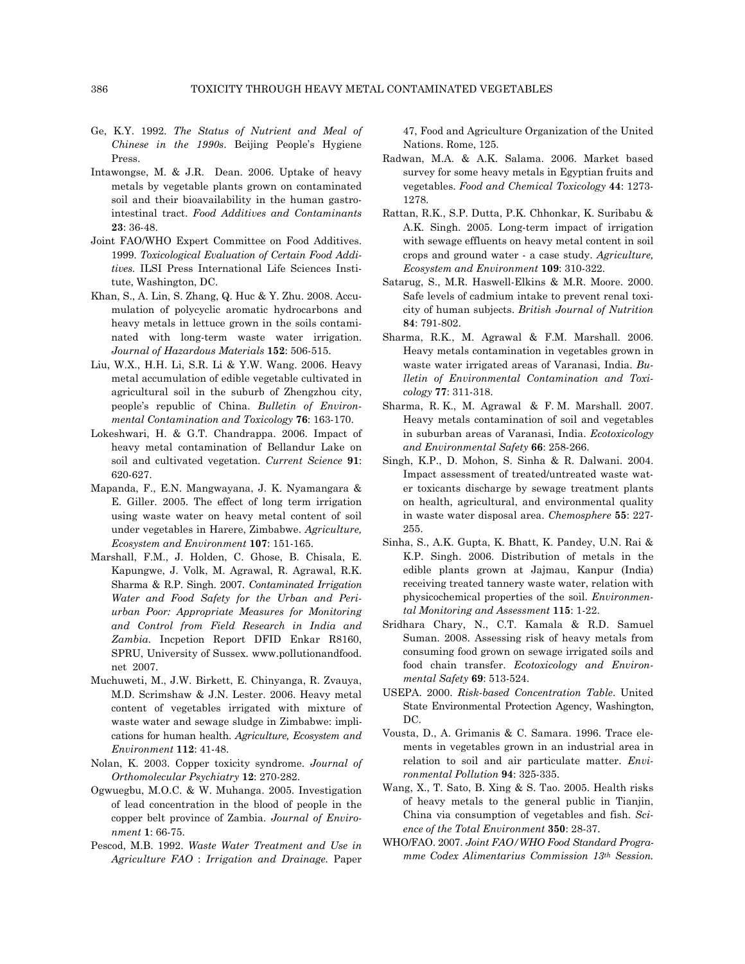- Ge, K.Y. 1992. *The Status of Nutrient and Meal of Chinese in the 1990s*. Beijing People's Hygiene Press.
- Intawongse, M. & J.R. Dean. 2006. Uptake of heavy metals by vegetable plants grown on contaminated soil and their bioavailability in the human gastrointestinal tract. *Food Additives and Contaminants* **23**: 36-48.
- Joint FAO/WHO Expert Committee on Food Additives. 1999. *Toxicological Evaluation of Certain Food Additives.* ILSI Press International Life Sciences Institute, Washington, DC.
- Khan, S., A. Lin, S. Zhang, Q. Huc & Y. Zhu. 2008. Accumulation of polycyclic aromatic hydrocarbons and heavy metals in lettuce grown in the soils contaminated with long-term waste water irrigation. *Journal of Hazardous Materials* **152**: 506-515.
- Liu, W.X., H.H. Li, S.R. Li & Y.W. Wang. 2006. Heavy metal accumulation of edible vegetable cultivated in agricultural soil in the suburb of Zhengzhou city, people's republic of China. *Bulletin of Environmental Contamination and Toxicology* **76**: 163-170.
- Lokeshwari, H. & G.T. Chandrappa. 2006. Impact of heavy metal contamination of Bellandur Lake on soil and cultivated vegetation. *Current Science* **91**: 620-627.
- Mapanda, F., E.N. Mangwayana, J. K. Nyamangara & E. Giller. 2005. The effect of long term irrigation using waste water on heavy metal content of soil under vegetables in Harere, Zimbabwe. *Agriculture, Ecosystem and Environment* **107**: 151-165.
- Marshall, F.M., J. Holden, C. Ghose, B. Chisala, E. Kapungwe, J. Volk, M. Agrawal, R. Agrawal, R.K. Sharma & R.P. Singh. 2007. *Contaminated Irrigation Water and Food Safety for the Urban and Periurban Poor: Appropriate Measures for Monitoring and Control from Field Research in India and Zambia.* Incpetion Report DFID Enkar R8160, SPRU, University of Sussex. www.pollutionandfood. net 2007.
- Muchuweti, M., J.W. Birkett, E. Chinyanga, R. Zvauya, M.D. Scrimshaw & J.N. Lester. 2006. Heavy metal content of vegetables irrigated with mixture of waste water and sewage sludge in Zimbabwe: implications for human health. *Agriculture, Ecosystem and Environment* **112**: 41-48.
- Nolan, K. 2003. Copper toxicity syndrome. *Journal of Orthomolecular Psychiatry* **12**: 270-282.
- Ogwuegbu, M.O.C. & W. Muhanga. 2005. Investigation of lead concentration in the blood of people in the copper belt province of Zambia. *Journal of Environment* **1**: 66-75.
- Pescod, M.B. 1992. *Waste Water Treatment and Use in Agriculture FAO* : *Irrigation and Drainage.* Paper

47, Food and Agriculture Organization of the United Nations. Rome, 125.

- Radwan, M.A. & A.K. Salama. 2006. Market based survey for some heavy metals in Egyptian fruits and vegetables. *Food and Chemical Toxicology* **44**: 1273- 1278.
- Rattan, R.K., S.P. Dutta, P.K. Chhonkar, K. Suribabu & A.K. Singh. 2005. Long-term impact of irrigation with sewage effluents on heavy metal content in soil crops and ground water - a case study. *Agriculture, Ecosystem and Environment* **109**: 310-322.
- Satarug, S., M.R. Haswell-Elkins & M.R. Moore. 2000. Safe levels of cadmium intake to prevent renal toxicity of human subjects. *British Journal of Nutrition*  **84**: 791-802.
- Sharma, R.K., M. Agrawal & F.M. Marshall. 2006. Heavy metals contamination in vegetables grown in waste water irrigated areas of Varanasi, India. *Bulletin of Environmental Contamination and Toxicology* **77**: 311-318.
- Sharma, R. K., M. Agrawal & F. M. Marshall. 2007. Heavy metals contamination of soil and vegetables in suburban areas of Varanasi, India. *Ecotoxicology and Environmental Safety* **66**: 258-266.
- Singh, K.P., D. Mohon, S. Sinha & R. Dalwani. 2004. Impact assessment of treated/untreated waste water toxicants discharge by sewage treatment plants on health, agricultural, and environmental quality in waste water disposal area. *Chemosphere* **55**: 227- 255.
- Sinha, S., A.K. Gupta, K. Bhatt, K. Pandey, U.N. Rai & K.P. Singh. 2006. Distribution of metals in the edible plants grown at Jajmau, Kanpur (India) receiving treated tannery waste water, relation with physicochemical properties of the soil. *Environmental Monitoring and Assessment* **115**: 1-22.
- Sridhara Chary, N., C.T. Kamala & R.D. Samuel Suman. 2008. Assessing risk of heavy metals from consuming food grown on sewage irrigated soils and food chain transfer. *Ecotoxicology and Environmental Safety* **69**: 513-524.
- USEPA. 2000. *Risk-based Concentration Table*. United State Environmental Protection Agency, Washington, DC.
- Vousta, D., A. Grimanis & C. Samara. 1996. Trace elements in vegetables grown in an industrial area in relation to soil and air particulate matter. *Environmental Pollution* **94**: 325-335.
- Wang, X., T. Sato, B. Xing & S. Tao. 2005. Health risks of heavy metals to the general public in Tianjin, China via consumption of vegetables and fish. *Science of the Total Environment* **350**: 28-37.
- WHO/FAO. 2007. *Joint FAO/WHO Food Standard Programme Codex Alimentarius Commission 13th Session.*